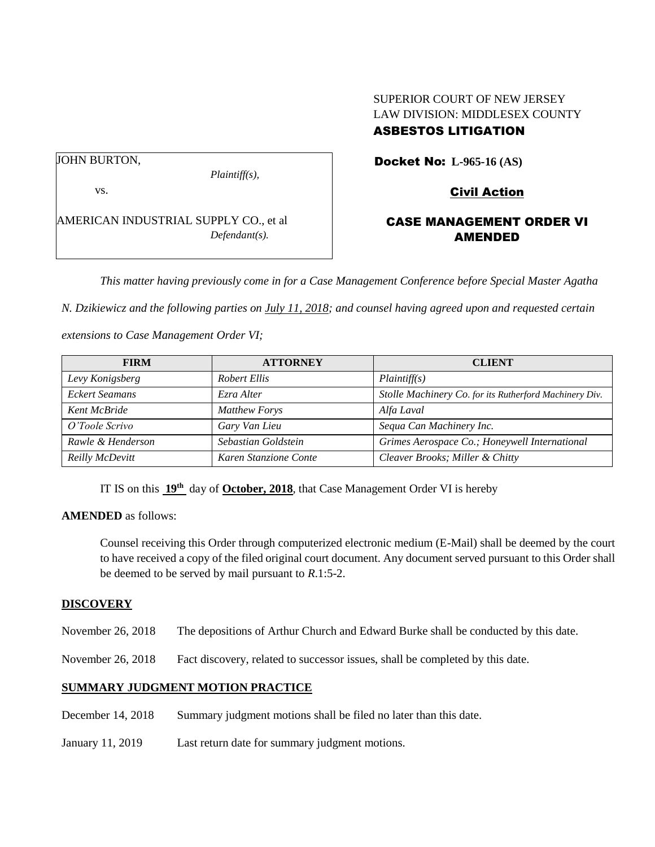# SUPERIOR COURT OF NEW JERSEY LAW DIVISION: MIDDLESEX COUNTY

# ASBESTOS LITIGATION

Docket No: **L-965-16 (AS)** 

Civil Action

# CASE MANAGEMENT ORDER VI AMENDED

*This matter having previously come in for a Case Management Conference before Special Master Agatha* 

*N. Dzikiewicz and the following parties on July 11, 2018; and counsel having agreed upon and requested certain* 

*extensions to Case Management Order VI;*

AMERICAN INDUSTRIAL SUPPLY CO., et al

*Plaintiff(s),*

*Defendant(s).*

| <b>FIRM</b>       | <b>ATTORNEY</b>       | <b>CLIENT</b>                                          |
|-------------------|-----------------------|--------------------------------------------------------|
| Levy Konigsberg   | Robert Ellis          | Plaintiff(s)                                           |
| Eckert Seamans    | Ezra Alter            | Stolle Machinery Co. for its Rutherford Machinery Div. |
| Kent McBride      | <b>Matthew Forys</b>  | Alfa Laval                                             |
| O'Toole Scrivo    | Gary Van Lieu         | Sequa Can Machinery Inc.                               |
| Rawle & Henderson | Sebastian Goldstein   | Grimes Aerospace Co.; Honeywell International          |
| Reilly McDevitt   | Karen Stanzione Conte | Cleaver Brooks; Miller & Chitty                        |

IT IS on this  $19^{\text{th}}$  day of **October, 2018**, that Case Management Order VI is hereby

#### **AMENDED** as follows:

Counsel receiving this Order through computerized electronic medium (E-Mail) shall be deemed by the court to have received a copy of the filed original court document. Any document served pursuant to this Order shall be deemed to be served by mail pursuant to *R*.1:5-2.

### **DISCOVERY**

November 26, 2018 The depositions of Arthur Church and Edward Burke shall be conducted by this date.

November 26, 2018 Fact discovery, related to successor issues, shall be completed by this date.

### **SUMMARY JUDGMENT MOTION PRACTICE**

- December 14, 2018 Summary judgment motions shall be filed no later than this date.
- January 11, 2019 Last return date for summary judgment motions.

JOHN BURTON,

vs.